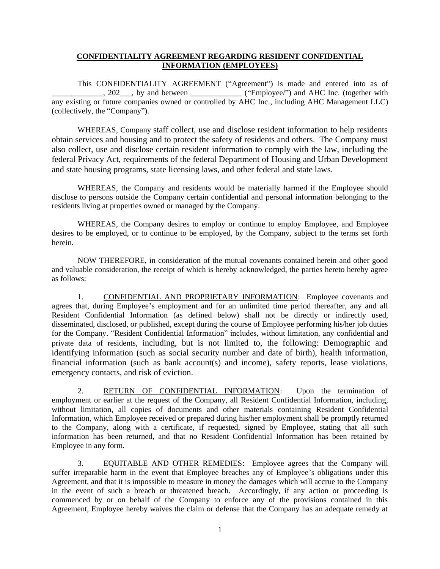## **CONFIDENTIALITY AGREEMENT REGARDING RESIDENT CONFIDENTIAL INFORMATION (EMPLOYEES)**

This CONFIDENTIALITY AGREEMENT ("Agreement") is made and entered into as of \_\_\_\_, 202\_\_\_, by and between \_\_\_\_\_\_\_\_\_\_\_\_\_\_\_ ("Employee/") and AHC Inc. (together with any existing or future companies owned or controlled by AHC Inc., including AHC Management LLC) (collectively, the "Company").

WHEREAS, Company staff collect, use and disclose resident information to help residents obtain services and housing and to protect the safety of residents and others. The Company must also collect, use and disclose certain resident information to comply with the law, including the federal Privacy Act, requirements of the federal Department of Housing and Urban Development and state housing programs, state licensing laws, and other federal and state laws.

WHEREAS, the Company and residents would be materially harmed if the Employee should disclose to persons outside the Company certain confidential and personal information belonging to the residents living at properties owned or managed by the Company.

WHEREAS, the Company desires to employ or continue to employ Employee, and Employee desires to be employed, or to continue to be employed, by the Company, subject to the terms set forth herein.

NOW THEREFORE, in consideration of the mutual covenants contained herein and other good and valuable consideration, the receipt of which is hereby acknowledged, the parties hereto hereby agree as follows:

1. CONFIDENTIAL AND PROPRIETARY INFORMATION: Employee covenants and agrees that, during Employee's employment and for an unlimited time period thereafter, any and all Resident Confidential Information (as defined below) shall not be directly or indirectly used, disseminated, disclosed, or published, except during the course of Employee performing his/her job duties for the Company. "Resident Confidential Information" includes, without limitation, any confidential and private data of residents, including, but is not limited to, the following: Demographic and identifying information (such as social security number and date of birth), health information, financial information (such as bank account(s) and income), safety reports, lease violations, emergency contacts, and risk of eviction.

2. RETURN OF CONFIDENTIAL INFORMATION: Upon the termination of employment or earlier at the request of the Company, all Resident Confidential Information, including, without limitation, all copies of documents and other materials containing Resident Confidential Information, which Employee received or prepared during his/her employment shall be promptly returned to the Company, along with a certificate, if requested, signed by Employee, stating that all such information has been returned, and that no Resident Confidential Information has been retained by Employee in any form.

3. EQUITABLE AND OTHER REMEDIES: Employee agrees that the Company will suffer irreparable harm in the event that Employee breaches any of Employee's obligations under this Agreement, and that it is impossible to measure in money the damages which will accrue to the Company in the event of such a breach or threatened breach. Accordingly, if any action or proceeding is commenced by or on behalf of the Company to enforce any of the provisions contained in this Agreement, Employee hereby waives the claim or defense that the Company has an adequate remedy at